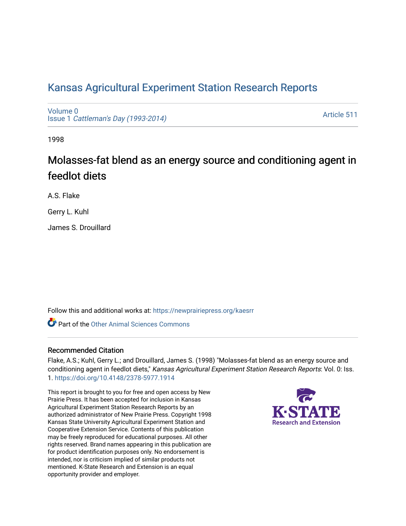## [Kansas Agricultural Experiment Station Research Reports](https://newprairiepress.org/kaesrr)

[Volume 0](https://newprairiepress.org/kaesrr/vol0) Issue 1 [Cattleman's Day \(1993-2014\)](https://newprairiepress.org/kaesrr/vol0/iss1) 

[Article 511](https://newprairiepress.org/kaesrr/vol0/iss1/511) 

1998

# Molasses-fat blend as an energy source and conditioning agent in feedlot diets

A.S. Flake

Gerry L. Kuhl

James S. Drouillard

Follow this and additional works at: [https://newprairiepress.org/kaesrr](https://newprairiepress.org/kaesrr?utm_source=newprairiepress.org%2Fkaesrr%2Fvol0%2Fiss1%2F511&utm_medium=PDF&utm_campaign=PDFCoverPages) 

**C** Part of the [Other Animal Sciences Commons](http://network.bepress.com/hgg/discipline/82?utm_source=newprairiepress.org%2Fkaesrr%2Fvol0%2Fiss1%2F511&utm_medium=PDF&utm_campaign=PDFCoverPages)

#### Recommended Citation

Flake, A.S.; Kuhl, Gerry L.; and Drouillard, James S. (1998) "Molasses-fat blend as an energy source and conditioning agent in feedlot diets," Kansas Agricultural Experiment Station Research Reports: Vol. 0: Iss. 1. <https://doi.org/10.4148/2378-5977.1914>

This report is brought to you for free and open access by New Prairie Press. It has been accepted for inclusion in Kansas Agricultural Experiment Station Research Reports by an authorized administrator of New Prairie Press. Copyright 1998 Kansas State University Agricultural Experiment Station and Cooperative Extension Service. Contents of this publication may be freely reproduced for educational purposes. All other rights reserved. Brand names appearing in this publication are for product identification purposes only. No endorsement is intended, nor is criticism implied of similar products not mentioned. K-State Research and Extension is an equal opportunity provider and employer.

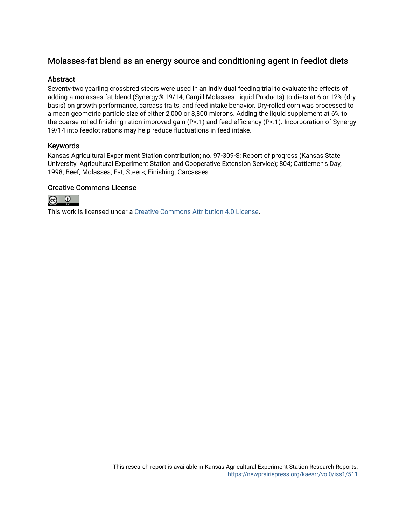### Molasses-fat blend as an energy source and conditioning agent in feedlot diets

#### **Abstract**

Seventy-two yearling crossbred steers were used in an individual feeding trial to evaluate the effects of adding a molasses-fat blend (Synergy® 19/14; Cargill Molasses Liquid Products) to diets at 6 or 12% (dry basis) on growth performance, carcass traits, and feed intake behavior. Dry-rolled corn was processed to a mean geometric particle size of either 2,000 or 3,800 microns. Adding the liquid supplement at 6% to the coarse-rolled finishing ration improved gain (P<.1) and feed efficiency (P<.1). Incorporation of Synergy 19/14 into feedlot rations may help reduce fluctuations in feed intake.

#### Keywords

Kansas Agricultural Experiment Station contribution; no. 97-309-S; Report of progress (Kansas State University. Agricultural Experiment Station and Cooperative Extension Service); 804; Cattlemen's Day, 1998; Beef; Molasses; Fat; Steers; Finishing; Carcasses

#### Creative Commons License



This work is licensed under a [Creative Commons Attribution 4.0 License](https://creativecommons.org/licenses/by/4.0/).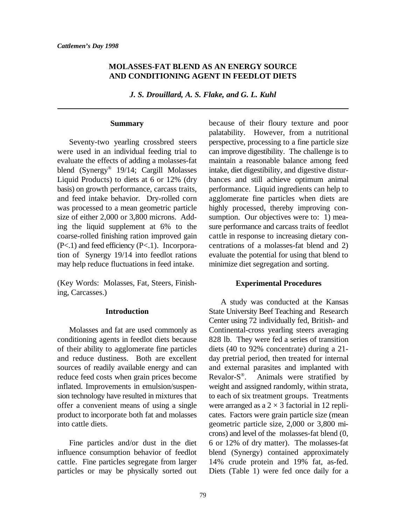#### **MOLASSES-FAT BLEND AS AN ENERGY SOURCE AND CONDITIONING AGENT IN FEEDLOT DIETS**

*J. S. Drouillard, A. S. Flake, and G. L. Kuhl*

#### **Summary**

were used in an individual feeding trial to can improve digestibility. The challenge is to evaluate the effects of adding a molasses-fat maintain a reasonable balance among feed blend (Synergy<sup>®</sup> 19/14; Cargill Molasses intake, diet digestibility, and digestive distur-Liquid Products) to diets at 6 or 12% (dry bances and still achieve optimum animal basis) on growth performance, carcass traits, performance. Liquid ingredients can help to and feed intake behavior. Dry-rolled corn agglomerate fine particles when diets are was processed to a mean geometric particle highly processed, thereby improving consize of either 2,000 or 3,800 microns. Add-<br>sumption. Our objectives were to: 1) meaing the liquid supplement at 6% to the sure performance and carcass traits of feedlot coarse-rolled finishing ration improved gain cattle in response to increasing dietary con-  $(P<.1)$  and feed efficiency  $(P<.1)$ . Incorpora- centrations of a molasses-fat blend and 2) tion of Synergy 19/14 into feedlot rations evaluate the potential for using that blend to may help reduce fluctuations in feed intake. minimize diet segregation and sorting.

(Key Words: Molasses, Fat, Steers, Finishing, Carcasses.)

#### **Introduction**

conditioning agents in feedlot diets because 828 lb. They were fed a series of transition of their ability to agglomerate fine particles diets (40 to 92% concentrate) during a 21 and reduce dustiness. Both are excellent day pretrial period, then treated for internal sources of readily available energy and can and external parasites and implanted with reduce feed costs when grain prices become Revalor- $S^{\circ}$ . Animals were stratified by inflated. Improvements in emulsion/suspen- weight and assigned randomly, within strata, sion technology have resulted in mixtures that to each of six treatment groups. Treatments offer a convenient means of using a single were arranged as  $a \times 3$  factorial in 12 repliproduct to incorporate both fat and molasses cates. Factors were grain particle size (mean into cattle diets. geometric particle size, 2,000 or 3,800 mi-

influence consumption behavior of feedlot blend (Synergy) contained approximately cattle. Fine particles segregate from larger 14% crude protein and 19% fat, as-fed. particles or may be physically sorted out Diets (Table 1) were fed once daily for a

Seventy-two yearling crossbred steers perspective, processing to a fine particle size because of their floury texture and poor palatability. However, from a nutritional

#### **Experimental Procedures**

Molasses and fat are used commonly as Continental-cross yearling steers averaging Fine particles and/or dust in the diet 6 or 12% of dry matter). The molasses-fat A study was conducted at the Kansas State University Beef Teaching and Research Center using 72 individually fed, British- and Revalor- $S^{\circledR}$ . crons) and level of the molasses-fat blend (0,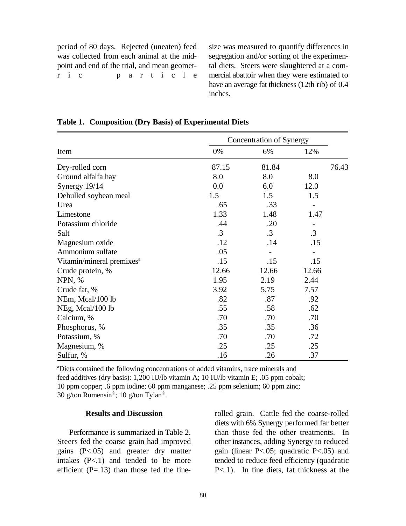period of 80 days. Rejected (uneaten) feed size was measured to quantify differences in was collected from each animal at the mid-<br>segregation and/or sorting of the experimenpoint and end of the trial, and mean geomet-<br>tal diets. Steers were slaughtered at a comr i c  $p$  a r t i c  $p$  e mercial abattoir when they were estimated to

have an average fat thickness (12th rib) of 0.4 inches.

|                                       | Concentration of Synergy |           |           |       |  |  |
|---------------------------------------|--------------------------|-----------|-----------|-------|--|--|
| Item                                  | 0%                       | 6%        | 12%       |       |  |  |
| Dry-rolled corn                       | 87.15                    | 81.84     |           | 76.43 |  |  |
| Ground alfalfa hay                    | 8.0                      | 8.0       | 8.0       |       |  |  |
| Synergy 19/14                         | 0.0                      | 6.0       | 12.0      |       |  |  |
| Dehulled soybean meal                 | 1.5                      | 1.5       | 1.5       |       |  |  |
| Urea                                  | .65                      | .33       |           |       |  |  |
| Limestone                             | 1.33                     | 1.48      | 1.47      |       |  |  |
| Potassium chloride                    | .44                      | .20       |           |       |  |  |
| Salt                                  | $\cdot$ 3                | $\cdot$ 3 | $\cdot$ 3 |       |  |  |
| Magnesium oxide                       | .12                      | .14       | .15       |       |  |  |
| Ammonium sulfate                      | .05                      |           |           |       |  |  |
| Vitamin/mineral premixes <sup>a</sup> | .15                      | .15       | .15       |       |  |  |
| Crude protein, %                      | 12.66                    | 12.66     | 12.66     |       |  |  |
| NPN, %                                | 1.95                     | 2.19      | 2.44      |       |  |  |
| Crude fat, %                          | 3.92                     | 5.75      | 7.57      |       |  |  |
| NEm, Mcal/100 lb                      | .82                      | .87       | .92       |       |  |  |
| NEg, Mcal/100 lb                      | .55                      | .58       | .62       |       |  |  |
| Calcium, %                            | .70                      | .70       | .70       |       |  |  |
| Phosphorus, %                         | .35                      | .35       | .36       |       |  |  |
| Potassium, %                          | .70                      | .70       | .72       |       |  |  |
| Magnesium, %                          | .25                      | .25       | .25       |       |  |  |
| Sulfur, %                             | .16                      | .26       | .37       |       |  |  |

|  |  |  | Table 1. Composition (Dry Basis) of Experimental Diets |
|--|--|--|--------------------------------------------------------|
|--|--|--|--------------------------------------------------------|

<sup>a</sup>Diets contained the following concentrations of added vitamins, trace minerals and feed additives (dry basis): 1,200 IU/lb vitamin A; 10 IU/lb vitamin E; .05 ppm cobalt; 10 ppm copper; .6 ppm iodine; 60 ppm manganese; .25 ppm selenium; 60 ppm zinc; 30 g/ton Rumensin<sup>®</sup>; 10 g/ton Tylan<sup>®</sup>.

#### **Results and Discussion**

gains  $(P<.05)$  and greater dry matter

Performance is summarized in Table 2. than those fed the other treatments. In Steers fed the coarse grain had improved other instances, adding Synergy to reduced gains (P<.05) and greater dry matter gain (linear P<.05; quadratic P<.05) and intakes (P<.1) and tended to be more tended to reduce feed efficiency (quadratic efficient  $(P=.13)$  than those fed the fine-  $P<.1$ ). In fine diets, fat thickness at the rolled grain. Cattle fed the coarse-rolled diets with 6% Synergy performed far better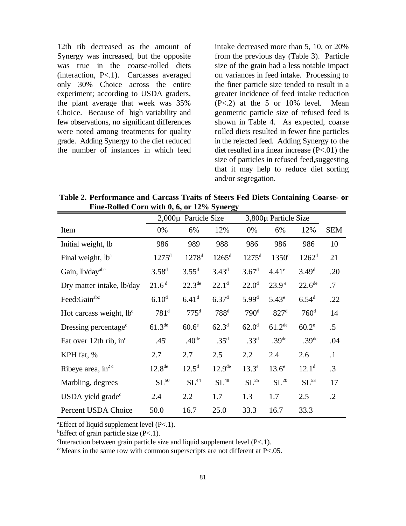Synergy was increased, but the opposite from the previous day (Table 3). Particle was true in the coarse-rolled diets size of the grain had a less notable impact (interaction, P<.1). Carcasses averaged on variances in feed intake. Processing to only 30% Choice across the entire the finer particle size tended to result in a experiment; according to USDA graders, greater incidence of feed intake reduction the plant average that week was  $35\%$  (P<.2) at the 5 or 10% level. Mean Choice. Because of high variability and geometric particle size of refused feed is few observations, no significant differences shown in Table 4. As expected, coarse were noted among treatments for quality rolled diets resulted in fewer fine particles grade. Adding Synergy to the diet reduced in the rejected feed. Adding Synergy to the the number of instances in which feed diet resulted in a linear increase  $(P<.01)$  the

12th rib decreased as the amount of intake decreased more than 5, 10, or 20% size of particles in refused feed,suggesting that it may help to reduce diet sorting and/or segregation.

**Table 2. Performance and Carcass Traits of Steers Fed Diets Containing Coarse- or Fine-Rolled Corn with 0, 6, or 12% Synergy**  $\blacksquare$ 

|                                     | 2,000µ Particle Size |                    |                    | 3,800µ Particle Size |                   |                    |            |
|-------------------------------------|----------------------|--------------------|--------------------|----------------------|-------------------|--------------------|------------|
| Item                                | 0%                   | 6%                 | 12%                | 0%                   | 6%                | 12%                | <b>SEM</b> |
| Initial weight, lb                  | 986                  | 989                | 988                | 986                  | 986               | 986                | 10         |
| Final weight, lb <sup>a</sup>       | 1275 <sup>d</sup>    | $1278^{d}$         | $1265^d$           | $1275^{\rm d}$       | $1350^\circ$      | $1262^d$           | 21         |
| Gain, lb/dayabc                     | $3.58^{d}$           | $3.55^d$           | $3.43^{d}$         | 3.67 <sup>d</sup>    | 4.41 <sup>e</sup> | 3.49 <sup>d</sup>  | .20        |
| Dry matter intake, lb/day           | 21.6 <sup>d</sup>    | $22.3^{\text{de}}$ | $22.1^d$           | $22.0^d$             | 23.9 <sup>e</sup> | 22.6 <sup>de</sup> | .7         |
| Feed:Gain <sup>abc</sup>            | 6.10 <sup>d</sup>    | 6.41 <sup>d</sup>  | 6.37 <sup>d</sup>  | $5.99^{d}$           | $5.43^e$          | $6.54^{d}$         | .22        |
| Hot carcass weight, lb <sup>c</sup> | 781 <sup>d</sup>     | 775 <sup>d</sup>   | 788 <sup>d</sup>   | 790 <sup>d</sup>     | 827 <sup>d</sup>  | 760 <sup>d</sup>   | 14         |
| Dressing percentage <sup>c</sup>    | $61.3^{\text{de}}$   | 60.6 <sup>e</sup>  | $62.3^{d}$         | 62.0 <sup>d</sup>    | $61.2^{de}$       | 60.2 <sup>e</sup>  | $.5\,$     |
| Fat over 12th rib, in $\epsilon$    | $.45^{\circ}$        | .40 <sup>de</sup>  | .35 <sup>d</sup>   | .33 <sup>d</sup>     | .39 <sup>de</sup> | .39 <sup>de</sup>  | .04        |
| KPH fat, %                          | 2.7                  | 2.7                | 2.5                | 2.2                  | 2.4               | 2.6                | $\cdot$ 1  |
| Ribeye area, in <sup>2 c</sup>      | 12.8 <sup>de</sup>   | $12.5^{\rm d}$     | 12.9 <sup>de</sup> | $13.3^e$             | $13.6^\circ$      | $12.1^d$           | $\cdot$ 3  |
| Marbling, degrees                   | $SL^{50}$            | SL <sup>44</sup>   | $SL^{48}$          | $SL^{25}$            | $SL^{20}$         | $SL^{53}$          | 17         |
| USDA yield grade $\rm^{\circ}$      | 2.4                  | 2.2                | 1.7                | 1.3                  | 1.7               | 2.5                | $\cdot$ .2 |
| Percent USDA Choice                 | 50.0                 | 16.7               | 25.0               | 33.3                 | 16.7              | 33.3               |            |

<sup>a</sup>Effect of liquid supplement level  $(P<.1)$ .

<sup>b</sup>Effect of grain particle size  $(P<.1)$ .

 $\text{F}$  interaction between grain particle size and liquid supplement level (P<.1).

 $\text{de}$ Means in the same row with common superscripts are not different at P<.05.